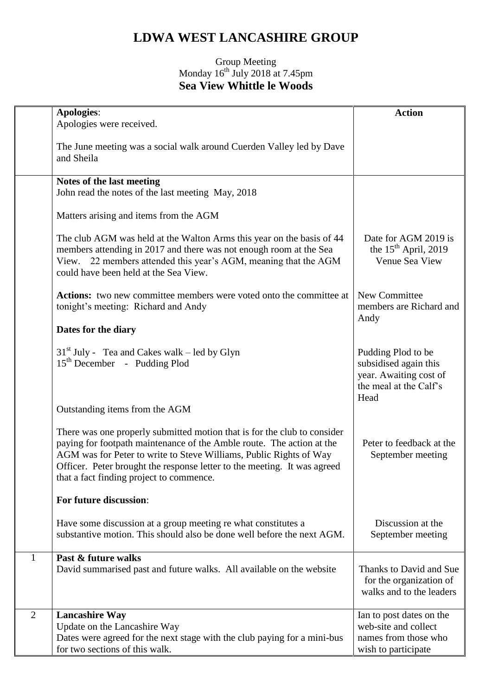## **LDWA WEST LANCASHIRE GROUP**

## Group Meeting Monday  $16^{th}$  July 2018 at 7.45pm **Sea View Whittle le Woods**

|                | <b>Apologies:</b><br>Apologies were received.                                                                                                                                                                                                                                                                                                   | <b>Action</b>                                                                                           |
|----------------|-------------------------------------------------------------------------------------------------------------------------------------------------------------------------------------------------------------------------------------------------------------------------------------------------------------------------------------------------|---------------------------------------------------------------------------------------------------------|
|                | The June meeting was a social walk around Cuerden Valley led by Dave<br>and Sheila                                                                                                                                                                                                                                                              |                                                                                                         |
|                | Notes of the last meeting<br>John read the notes of the last meeting May, 2018                                                                                                                                                                                                                                                                  |                                                                                                         |
|                | Matters arising and items from the AGM                                                                                                                                                                                                                                                                                                          |                                                                                                         |
|                | The club AGM was held at the Walton Arms this year on the basis of 44<br>members attending in 2017 and there was not enough room at the Sea<br>View. 22 members attended this year's AGM, meaning that the AGM<br>could have been held at the Sea View.                                                                                         | Date for AGM 2019 is<br>the $15th$ April, 2019<br>Venue Sea View                                        |
|                | <b>Actions:</b> two new committee members were voted onto the committee at<br>tonight's meeting: Richard and Andy                                                                                                                                                                                                                               | New Committee<br>members are Richard and<br>Andy                                                        |
|                | Dates for the diary                                                                                                                                                                                                                                                                                                                             |                                                                                                         |
|                | $31st$ July - Tea and Cakes walk – led by Glyn<br>$15th$ December - Pudding Plod                                                                                                                                                                                                                                                                | Pudding Plod to be<br>subsidised again this<br>year. Awaiting cost of<br>the meal at the Calf's<br>Head |
|                | Outstanding items from the AGM                                                                                                                                                                                                                                                                                                                  |                                                                                                         |
|                | There was one properly submitted motion that is for the club to consider<br>paying for footpath maintenance of the Amble route. The action at the<br>AGM was for Peter to write to Steve Williams, Public Rights of Way<br>Officer. Peter brought the response letter to the meeting. It was agreed<br>that a fact finding project to commence. | Peter to feedback at the<br>September meeting                                                           |
|                | For future discussion:                                                                                                                                                                                                                                                                                                                          |                                                                                                         |
|                | Have some discussion at a group meeting re what constitutes a<br>substantive motion. This should also be done well before the next AGM.                                                                                                                                                                                                         | Discussion at the<br>September meeting                                                                  |
| 1              | Past & future walks                                                                                                                                                                                                                                                                                                                             |                                                                                                         |
|                | David summarised past and future walks. All available on the website                                                                                                                                                                                                                                                                            | Thanks to David and Sue<br>for the organization of<br>walks and to the leaders                          |
| $\overline{2}$ | <b>Lancashire Way</b>                                                                                                                                                                                                                                                                                                                           | Ian to post dates on the                                                                                |
|                | Update on the Lancashire Way<br>Dates were agreed for the next stage with the club paying for a mini-bus                                                                                                                                                                                                                                        | web-site and collect<br>names from those who                                                            |
|                | for two sections of this walk.                                                                                                                                                                                                                                                                                                                  | wish to participate                                                                                     |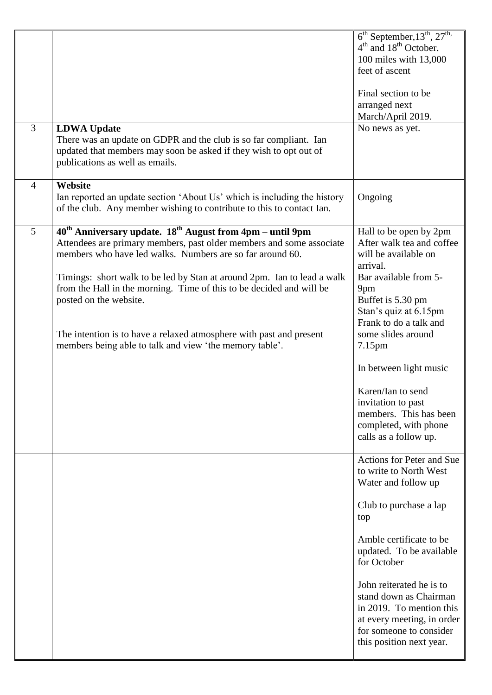|                |                                                                                                                                                                                                                        | $6th September, 13th, 27th$<br>$4th$ and $18th$ October.                                                                                                            |
|----------------|------------------------------------------------------------------------------------------------------------------------------------------------------------------------------------------------------------------------|---------------------------------------------------------------------------------------------------------------------------------------------------------------------|
|                |                                                                                                                                                                                                                        | 100 miles with 13,000<br>feet of ascent                                                                                                                             |
|                |                                                                                                                                                                                                                        | Final section to be<br>arranged next                                                                                                                                |
| $\overline{3}$ | <b>LDWA Update</b>                                                                                                                                                                                                     | March/April 2019.<br>No news as yet.                                                                                                                                |
|                | There was an update on GDPR and the club is so far compliant. Ian<br>updated that members may soon be asked if they wish to opt out of<br>publications as well as emails.                                              |                                                                                                                                                                     |
| $\overline{4}$ | Website                                                                                                                                                                                                                |                                                                                                                                                                     |
|                | Ian reported an update section 'About Us' which is including the history<br>of the club. Any member wishing to contribute to this to contact Ian.                                                                      | Ongoing                                                                                                                                                             |
| 5              | 40 <sup>th</sup> Anniversary update. 18 <sup>th</sup> August from 4pm – until 9pm<br>Attendees are primary members, past older members and some associate<br>members who have led walks. Numbers are so far around 60. | Hall to be open by 2pm<br>After walk tea and coffee<br>will be available on                                                                                         |
|                |                                                                                                                                                                                                                        | arrival.                                                                                                                                                            |
|                | Timings: short walk to be led by Stan at around 2pm. Ian to lead a walk                                                                                                                                                | Bar available from 5-                                                                                                                                               |
|                | from the Hall in the morning. Time of this to be decided and will be<br>posted on the website.                                                                                                                         | 9pm<br>Buffet is 5.30 pm                                                                                                                                            |
|                |                                                                                                                                                                                                                        | Stan's quiz at 6.15pm                                                                                                                                               |
|                |                                                                                                                                                                                                                        | Frank to do a talk and                                                                                                                                              |
|                | The intention is to have a relaxed atmosphere with past and present<br>members being able to talk and view 'the memory table'.                                                                                         | some slides around<br>7.15 <sub>pm</sub>                                                                                                                            |
|                |                                                                                                                                                                                                                        | In between light music                                                                                                                                              |
|                |                                                                                                                                                                                                                        | Karen/Ian to send                                                                                                                                                   |
|                |                                                                                                                                                                                                                        | invitation to past<br>members. This has been                                                                                                                        |
|                |                                                                                                                                                                                                                        | completed, with phone                                                                                                                                               |
|                |                                                                                                                                                                                                                        | calls as a follow up.                                                                                                                                               |
|                |                                                                                                                                                                                                                        | Actions for Peter and Sue<br>to write to North West<br>Water and follow up                                                                                          |
|                |                                                                                                                                                                                                                        | Club to purchase a lap<br>top                                                                                                                                       |
|                |                                                                                                                                                                                                                        | Amble certificate to be<br>updated. To be available<br>for October                                                                                                  |
|                |                                                                                                                                                                                                                        | John reiterated he is to<br>stand down as Chairman<br>in 2019. To mention this<br>at every meeting, in order<br>for someone to consider<br>this position next year. |